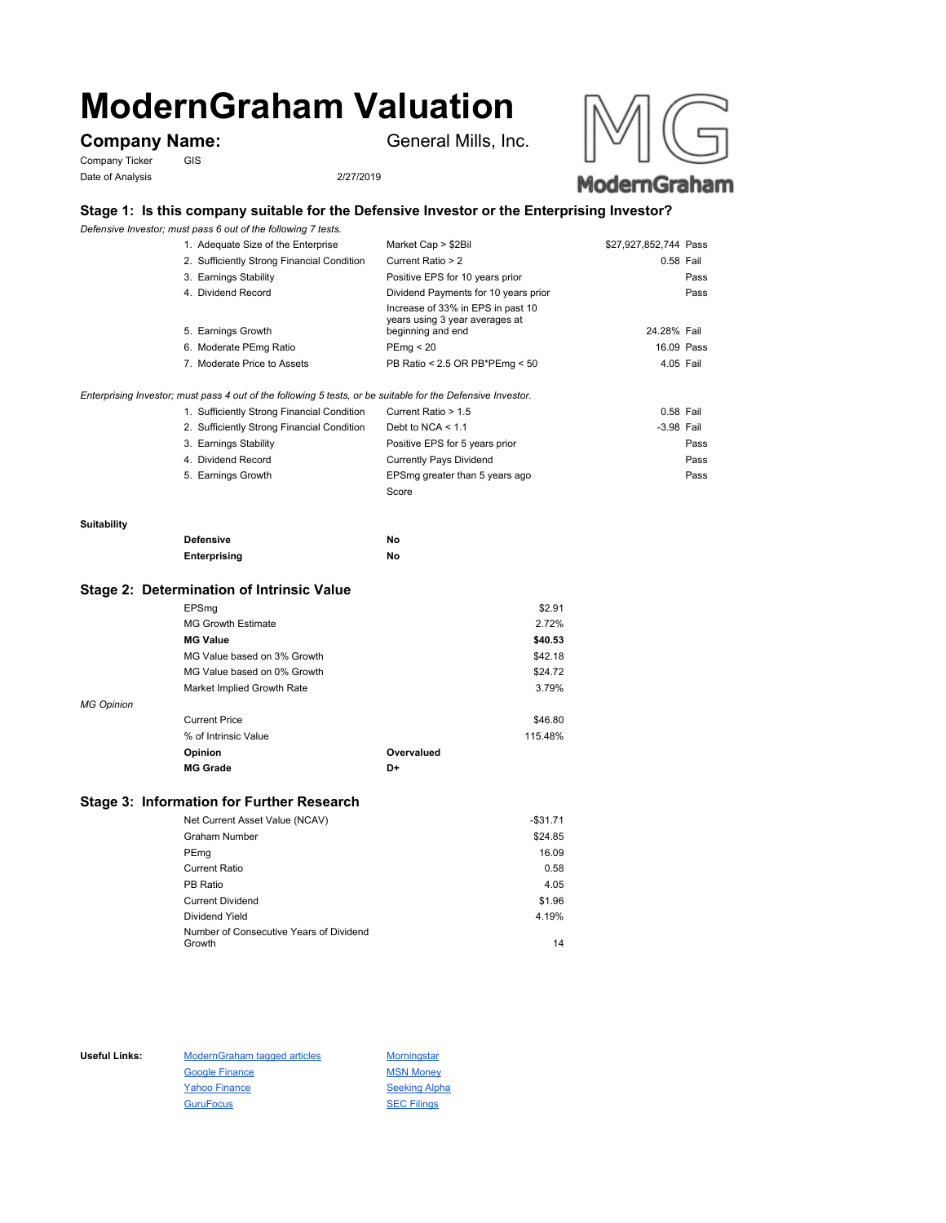# **ModernGraham Valuation**

### **Company Name:** General Mills, Inc.

Company Ticker GIS Date of Analysis 2/27/2019



## **Stage 1: Is this company suitable for the Defensive Investor or the Enterprising Investor?**

*Defensive Investor; must pass 6 out of the following 7 tests.*

| 1. Adequate Size of the Enterprise                                                                          | Market Cap > \$2Bil                                                                      | \$27,927,852,744 Pass |      |
|-------------------------------------------------------------------------------------------------------------|------------------------------------------------------------------------------------------|-----------------------|------|
| 2. Sufficiently Strong Financial Condition                                                                  | Current Ratio > 2                                                                        | 0.58 Fail             |      |
| 3. Earnings Stability                                                                                       | Positive EPS for 10 years prior                                                          |                       | Pass |
| 4. Dividend Record                                                                                          | Dividend Payments for 10 years prior                                                     |                       | Pass |
| 5. Earnings Growth                                                                                          | Increase of 33% in EPS in past 10<br>years using 3 year averages at<br>beginning and end | 24.28% Fail           |      |
| 6. Moderate PEmg Ratio                                                                                      | PEma < 20                                                                                | 16.09 Pass            |      |
| 7. Moderate Price to Assets                                                                                 | PB Ratio < 2.5 OR PB*PEmg < 50                                                           | 4.05 Fail             |      |
| Enterprising Investor; must pass 4 out of the following 5 tests, or be suitable for the Defensive Investor. |                                                                                          |                       |      |
| 1. Sufficiently Strong Financial Condition                                                                  | Current Ratio > 1.5                                                                      | 0.58 Fail             |      |

| $\ldots$ cannot charge currently and $\ldots$ |                                |            |
|-----------------------------------------------|--------------------------------|------------|
| 2. Sufficiently Strong Financial Condition    | Debt to NCA $<$ 1.1            | -3.98 Fail |
| 3. Earnings Stability                         | Positive EPS for 5 years prior | Pass       |
| 4. Dividend Record                            | <b>Currently Pays Dividend</b> | Pass       |
| 5. Earnings Growth                            | EPSmg greater than 5 years ago | Pass       |
|                                               | Score                          |            |

#### **Suitability**

| <b>Defensive</b> | Νo |
|------------------|----|
| Enterprising     | Νo |

#### **Stage 2: Determination of Intrinsic Value**

|                   | EPSmg                       |            | \$2.91  |
|-------------------|-----------------------------|------------|---------|
|                   | <b>MG Growth Estimate</b>   |            | 2.72%   |
|                   | <b>MG Value</b>             |            | \$40.53 |
|                   | MG Value based on 3% Growth |            | \$42.18 |
|                   | MG Value based on 0% Growth |            | \$24.72 |
|                   | Market Implied Growth Rate  |            | 3.79%   |
| <b>MG Opinion</b> |                             |            |         |
|                   | <b>Current Price</b>        |            | \$46.80 |
|                   | % of Intrinsic Value        |            | 115.48% |
|                   | Opinion                     | Overvalued |         |
|                   | <b>MG Grade</b>             | D+         |         |
|                   |                             |            |         |

#### **Stage 3: Information for Further Research**

| Net Current Asset Value (NCAV)          | $-$31.71$ |
|-----------------------------------------|-----------|
| Graham Number                           | \$24.85   |
| PEmg                                    | 16.09     |
| Current Ratio                           | 0.58      |
| PB Ratio                                | 4.05      |
| <b>Current Dividend</b>                 | \$1.96    |
| Dividend Yield                          | 4.19%     |
| Number of Consecutive Years of Dividend |           |
| Growth                                  | 14        |

Useful Links: ModernGraham tagged articles Morningstar Google Finance MSN Money Yahoo Finance Seeking Alpha GuruFocus SEC Filings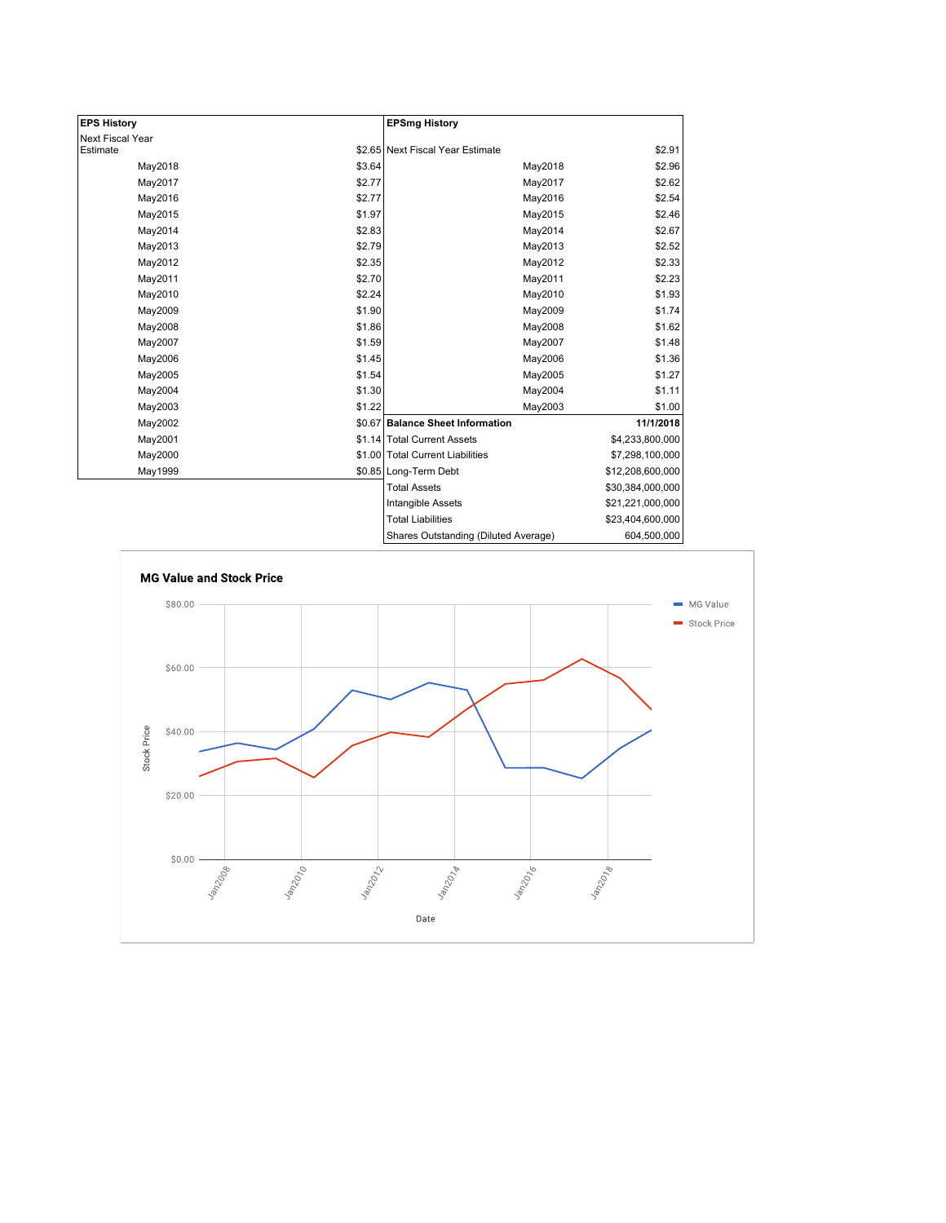| <b>EPS History</b> |        | <b>EPSmg History</b>                 |                  |
|--------------------|--------|--------------------------------------|------------------|
| Next Fiscal Year   |        |                                      |                  |
| Estimate           |        | \$2.65 Next Fiscal Year Estimate     | \$2.91           |
| May2018            | \$3.64 | May2018                              | \$2.96           |
| May2017            | \$2.77 | May2017                              | \$2.62           |
| May2016            | \$2.77 | May2016                              | \$2.54           |
| May2015            | \$1.97 | May2015                              | \$2.46           |
| May2014            | \$2.83 | May2014                              | \$2.67           |
| May2013            | \$2.79 | May2013                              | \$2.52           |
| May2012            | \$2.35 | May2012                              | \$2.33           |
| May2011            | \$2.70 | May2011                              | \$2.23           |
| May2010            | \$2.24 | May2010                              | \$1.93           |
| May2009            | \$1.90 | May2009                              | \$1.74           |
| May2008            | \$1.86 | May2008                              | \$1.62           |
| May2007            | \$1.59 | May2007                              | \$1.48           |
| May2006            | \$1.45 | May2006                              | \$1.36           |
| May2005            | \$1.54 | May2005                              | \$1.27           |
| May2004            | \$1.30 | May2004                              | \$1.11           |
| May2003            | \$1.22 | May2003                              | \$1.00           |
| May2002            |        | \$0.67 Balance Sheet Information     | 11/1/2018        |
| May2001            |        | \$1.14 Total Current Assets          | \$4,233,800,000  |
| May2000            |        | \$1.00 Total Current Liabilities     | \$7,298,100,000  |
| May1999            |        | \$0.85 Long-Term Debt                | \$12,208,600,000 |
|                    |        | <b>Total Assets</b>                  | \$30,384,000,000 |
|                    |        | Intangible Assets                    | \$21,221,000,000 |
|                    |        | <b>Total Liabilities</b>             | \$23,404,600,000 |
|                    |        | Shares Outstanding (Diluted Average) | 604,500,000      |